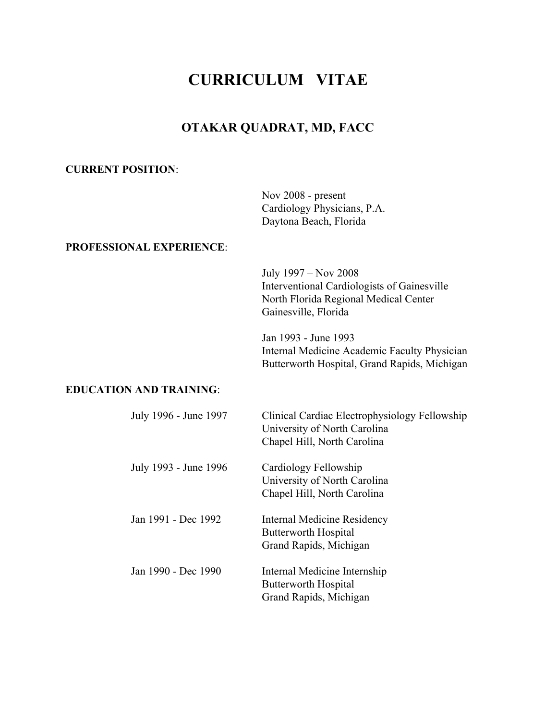# **CURRICULUM VITAE**

# **OTAKAR QUADRAT, MD, FACC**

### **CURRENT POSITION**:

Nov 2008 - present Cardiology Physicians, P.A. Daytona Beach, Florida

## **PROFESSIONAL EXPERIENCE**:

July 1997 – Nov 2008 Interventional Cardiologists of Gainesville North Florida Regional Medical Center Gainesville, Florida

Jan 1993 - June 1993 Internal Medicine Academic Faculty Physician Butterworth Hospital, Grand Rapids, Michigan

#### **EDUCATION AND TRAINING**:

| July 1996 - June 1997 | Clinical Cardiac Electrophysiology Fellowship<br>University of North Carolina<br>Chapel Hill, North Carolina |
|-----------------------|--------------------------------------------------------------------------------------------------------------|
| July 1993 - June 1996 | Cardiology Fellowship<br>University of North Carolina<br>Chapel Hill, North Carolina                         |
| Jan 1991 - Dec 1992   | Internal Medicine Residency<br>Butterworth Hospital<br>Grand Rapids, Michigan                                |
| Jan 1990 - Dec 1990   | Internal Medicine Internship<br>Butterworth Hospital<br>Grand Rapids, Michigan                               |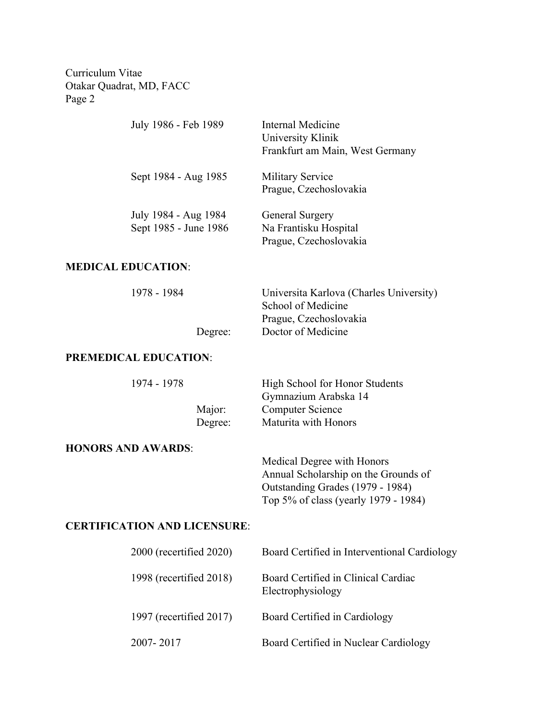Curriculum Vitae Otakar Quadrat, MD, FACC Page 2

| July 1986 - Feb 1989                          | Internal Medicine<br>University Klinik<br>Frankfurt am Main, West Germany |
|-----------------------------------------------|---------------------------------------------------------------------------|
| Sept 1984 - Aug 1985                          | <b>Military Service</b><br>Prague, Czechoslovakia                         |
| July 1984 - Aug 1984<br>Sept 1985 - June 1986 | General Surgery<br>Na Frantisku Hospital<br>Prague, Czechoslovakia        |

## **MEDICAL EDUCATION**:

| 1978 - 1984 |         | Universita Karlova (Charles University) |
|-------------|---------|-----------------------------------------|
|             |         | School of Medicine                      |
|             |         | Prague, Czechoslovakia                  |
|             | Degree: | Doctor of Medicine                      |
|             |         |                                         |

#### **PREMEDICAL EDUCATION**:

| 1974 - 1978 |         | High School for Honor Students |
|-------------|---------|--------------------------------|
|             |         | Gymnazium Arabska 14           |
|             | Major:  | Computer Science               |
|             | Degree: | Maturita with Honors           |

#### **HONORS AND AWARDS**:

Medical Degree with Honors Annual Scholarship on the Grounds of Outstanding Grades (1979 - 1984) Top 5% of class (yearly 1979 - 1984)

# **CERTIFICATION AND LICENSURE**:

| $2000$ (recertified $2020$ ) | Board Certified in Interventional Cardiology             |
|------------------------------|----------------------------------------------------------|
| 1998 (recertified 2018)      | Board Certified in Clinical Cardiac<br>Electrophysiology |
| 1997 (recertified $2017$ )   | Board Certified in Cardiology                            |
| 2007-2017                    | Board Certified in Nuclear Cardiology                    |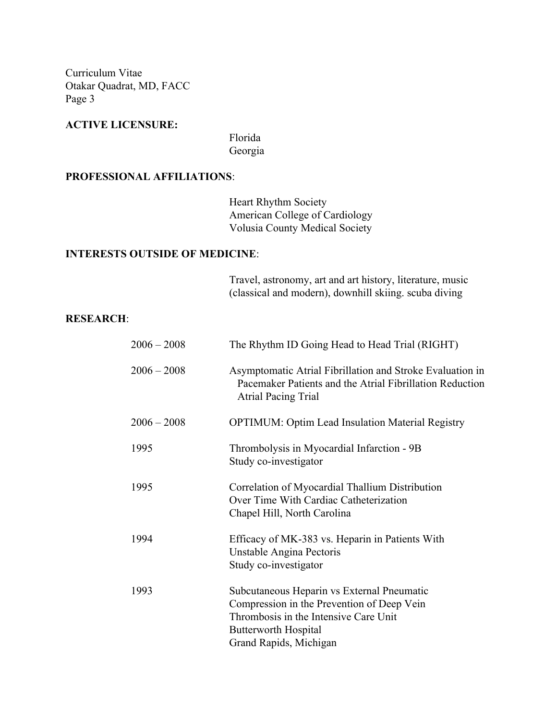Curriculum Vitae Otakar Quadrat, MD, FACC Page 3

# **ACTIVE LICENSURE:**

Florida Georgia

#### **PROFESSIONAL AFFILIATIONS**:

Heart Rhythm Society American College of Cardiology Volusia County Medical Society

# **INTERESTS OUTSIDE OF MEDICINE**:

Travel, astronomy, art and art history, literature, music (classical and modern), downhill skiing. scuba diving

#### **RESEARCH**:

| $2006 - 2008$ | The Rhythm ID Going Head to Head Trial (RIGHT)                                                                                                                                             |
|---------------|--------------------------------------------------------------------------------------------------------------------------------------------------------------------------------------------|
| $2006 - 2008$ | Asymptomatic Atrial Fibrillation and Stroke Evaluation in<br>Pacemaker Patients and the Atrial Fibrillation Reduction<br>Atrial Pacing Trial                                               |
| $2006 - 2008$ | <b>OPTIMUM: Optim Lead Insulation Material Registry</b>                                                                                                                                    |
| 1995          | Thrombolysis in Myocardial Infarction - 9B<br>Study co-investigator                                                                                                                        |
| 1995          | Correlation of Myocardial Thallium Distribution<br>Over Time With Cardiac Catheterization<br>Chapel Hill, North Carolina                                                                   |
| 1994          | Efficacy of MK-383 vs. Heparin in Patients With<br>Unstable Angina Pectoris<br>Study co-investigator                                                                                       |
| 1993          | Subcutaneous Heparin vs External Pneumatic<br>Compression in the Prevention of Deep Vein<br>Thrombosis in the Intensive Care Unit<br><b>Butterworth Hospital</b><br>Grand Rapids, Michigan |